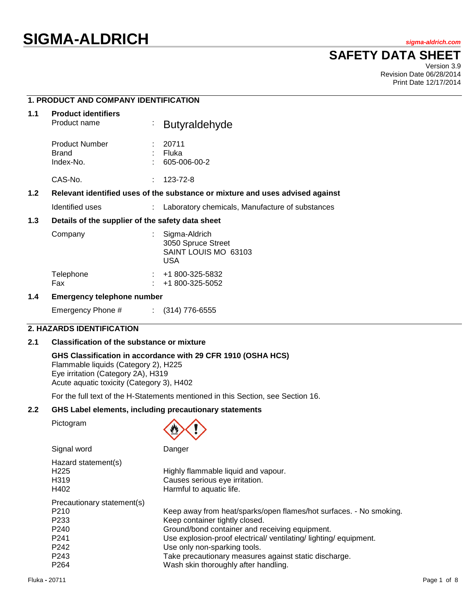# **SIGMA-ALDRICH** *sigma-aldrich.com*

# **SAFETY DATA SHEET**

Version 3.9 Revision Date 06/28/2014 Print Date 12/17/2014

# **1. PRODUCT AND COMPANY IDENTIFICATION**

| 1.1 | <b>Product identifiers</b>                                                    |   |                                                             |  |  |
|-----|-------------------------------------------------------------------------------|---|-------------------------------------------------------------|--|--|
|     | Product name                                                                  | ÷ | <b>Butyraldehyde</b>                                        |  |  |
|     | <b>Product Number</b>                                                         |   | : 20711                                                     |  |  |
|     | Brand                                                                         |   | : Fluka                                                     |  |  |
|     | Index-No.                                                                     |   | 605-006-00-2                                                |  |  |
|     | CAS-No.                                                                       |   | 123-72-8                                                    |  |  |
| 1.2 | Relevant identified uses of the substance or mixture and uses advised against |   |                                                             |  |  |
|     | Identified uses                                                               |   | Laboratory chemicals, Manufacture of substances             |  |  |
| 1.3 | Details of the supplier of the safety data sheet                              |   |                                                             |  |  |
|     | Company                                                                       |   | Sigma-Aldrich<br>3050 Spruce Street<br>SAINT LOUIS MO 63103 |  |  |
|     |                                                                               |   | <b>USA</b>                                                  |  |  |
|     | Telephone                                                                     |   | +1 800-325-5832                                             |  |  |
|     | Fax                                                                           |   | +1 800-325-5052                                             |  |  |
| 1.4 | <b>Emergency telephone number</b>                                             |   |                                                             |  |  |

Emergency Phone # : (314) 776-6555

# **2. HAZARDS IDENTIFICATION**

#### **2.1 Classification of the substance or mixture**

Signal word Danger

**GHS Classification in accordance with 29 CFR 1910 (OSHA HCS)** Flammable liquids (Category 2), H225 Eye irritation (Category 2A), H319 Acute aquatic toxicity (Category 3), H402

For the full text of the H-Statements mentioned in this Section, see Section 16.

#### **2.2 GHS Label elements, including precautionary statements**

Pictogram



| Hazard statement(s)<br>H <sub>225</sub><br>H319<br>H402 | Highly flammable liquid and vapour.<br>Causes serious eye irritation.<br>Harmful to aquatic life. |
|---------------------------------------------------------|---------------------------------------------------------------------------------------------------|
| Precautionary statement(s)                              |                                                                                                   |
| P <sub>210</sub>                                        | Keep away from heat/sparks/open flames/hot surfaces. - No smoking.                                |
| P <sub>233</sub>                                        | Keep container tightly closed.                                                                    |
| P <sub>240</sub>                                        | Ground/bond container and receiving equipment.                                                    |
| P <sub>241</sub>                                        | Use explosion-proof electrical/ ventilating/ lighting/ equipment.                                 |
| P <sub>242</sub>                                        | Use only non-sparking tools.                                                                      |
| P243                                                    | Take precautionary measures against static discharge.                                             |
| P <sub>264</sub>                                        | Wash skin thoroughly after handling.                                                              |
|                                                         |                                                                                                   |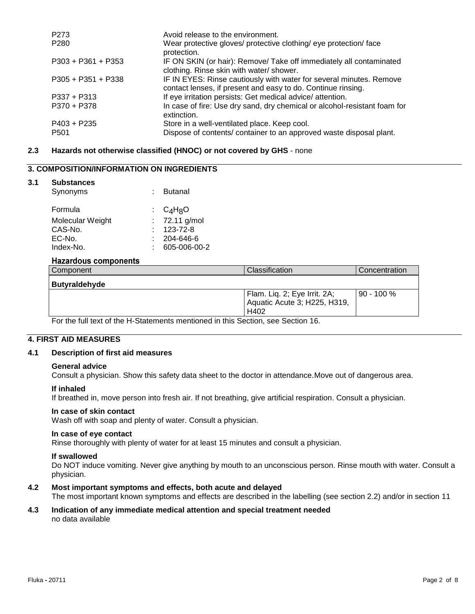| P <sub>273</sub><br>P <sub>280</sub> | Avoid release to the environment.<br>Wear protective gloves/ protective clothing/ eye protection/ face<br>protection.               |
|--------------------------------------|-------------------------------------------------------------------------------------------------------------------------------------|
| $P303 + P361 + P353$                 | IF ON SKIN (or hair): Remove/ Take off immediately all contaminated<br>clothing. Rinse skin with water/ shower.                     |
| $P305 + P351 + P338$                 | IF IN EYES: Rinse cautiously with water for several minutes. Remove<br>contact lenses, if present and easy to do. Continue rinsing. |
| $P337 + P313$                        | If eye irritation persists: Get medical advice/attention.                                                                           |
| P370 + P378                          | In case of fire: Use dry sand, dry chemical or alcohol-resistant foam for<br>extinction.                                            |
| $P403 + P235$                        | Store in a well-ventilated place. Keep cool.                                                                                        |
| P <sub>501</sub>                     | Dispose of contents/ container to an approved waste disposal plant.                                                                 |

**2.3 Hazards not otherwise classified (HNOC) or not covered by GHS** - none

# **3. COMPOSITION/INFORMATION ON INGREDIENTS**

#### **3.1 Substances**

| Synonyms         | <b>Butanal</b>  |
|------------------|-----------------|
| Formula          | : $C_4H_8O$     |
| Molecular Weight | : $72.11$ g/mol |
| CAS-No.          | 123-72-8        |
| EC-No.           | 204-646-6       |
| Index-No.        | 605-006-00-2    |

#### **Hazardous components**

| Component            | Classification                                                       | Concentration |
|----------------------|----------------------------------------------------------------------|---------------|
| <b>Butyraldehyde</b> |                                                                      |               |
|                      | Flam. Liq. 2; Eye Irrit. 2A;<br>Aquatic Acute 3; H225, H319,<br>H402 | $90 - 100 \%$ |

For the full text of the H-Statements mentioned in this Section, see Section 16.

# **4. FIRST AID MEASURES**

## **4.1 Description of first aid measures**

#### **General advice**

Consult a physician. Show this safety data sheet to the doctor in attendance.Move out of dangerous area.

#### **If inhaled**

If breathed in, move person into fresh air. If not breathing, give artificial respiration. Consult a physician.

#### **In case of skin contact**

Wash off with soap and plenty of water. Consult a physician.

#### **In case of eye contact**

Rinse thoroughly with plenty of water for at least 15 minutes and consult a physician.

#### **If swallowed**

Do NOT induce vomiting. Never give anything by mouth to an unconscious person. Rinse mouth with water. Consult a physician.

#### **4.2 Most important symptoms and effects, both acute and delayed**

The most important known symptoms and effects are described in the labelling (see section 2.2) and/or in section 11

#### **4.3 Indication of any immediate medical attention and special treatment needed** no data available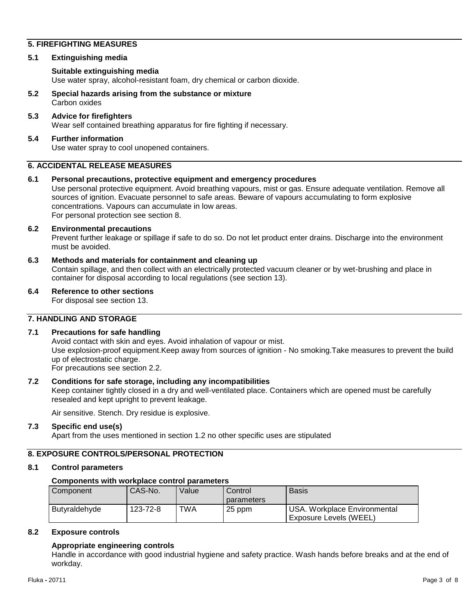## **5. FIREFIGHTING MEASURES**

#### **5.1 Extinguishing media**

#### **Suitable extinguishing media**

Use water spray, alcohol-resistant foam, dry chemical or carbon dioxide.

**5.2 Special hazards arising from the substance or mixture** Carbon oxides

### **5.3 Advice for firefighters** Wear self contained breathing apparatus for fire fighting if necessary.

### **5.4 Further information**

Use water spray to cool unopened containers.

# **6. ACCIDENTAL RELEASE MEASURES**

#### **6.1 Personal precautions, protective equipment and emergency procedures**

Use personal protective equipment. Avoid breathing vapours, mist or gas. Ensure adequate ventilation. Remove all sources of ignition. Evacuate personnel to safe areas. Beware of vapours accumulating to form explosive concentrations. Vapours can accumulate in low areas. For personal protection see section 8.

#### **6.2 Environmental precautions**

Prevent further leakage or spillage if safe to do so. Do not let product enter drains. Discharge into the environment must be avoided.

#### **6.3 Methods and materials for containment and cleaning up**

Contain spillage, and then collect with an electrically protected vacuum cleaner or by wet-brushing and place in container for disposal according to local regulations (see section 13).

#### **6.4 Reference to other sections**

For disposal see section 13.

# **7. HANDLING AND STORAGE**

## **7.1 Precautions for safe handling**

Avoid contact with skin and eyes. Avoid inhalation of vapour or mist. Use explosion-proof equipment.Keep away from sources of ignition - No smoking.Take measures to prevent the build up of electrostatic charge. For precautions see section 2.2.

# **7.2 Conditions for safe storage, including any incompatibilities**

Keep container tightly closed in a dry and well-ventilated place. Containers which are opened must be carefully resealed and kept upright to prevent leakage.

Air sensitive. Stench. Dry residue is explosive.

#### **7.3 Specific end use(s)**

Apart from the uses mentioned in section 1.2 no other specific uses are stipulated

#### **8. EXPOSURE CONTROLS/PERSONAL PROTECTION**

#### **8.1 Control parameters**

#### **Components with workplace control parameters**

| Component     | CAS-No.  | Value | Control<br>parameters | <b>Basis</b>                                                  |
|---------------|----------|-------|-----------------------|---------------------------------------------------------------|
| Butvraldehvde | 123-72-8 | TWA   | 25 ppm                | USA. Workplace Environmental<br><b>Exposure Levels (WEEL)</b> |

#### **8.2 Exposure controls**

#### **Appropriate engineering controls**

Handle in accordance with good industrial hygiene and safety practice. Wash hands before breaks and at the end of workday.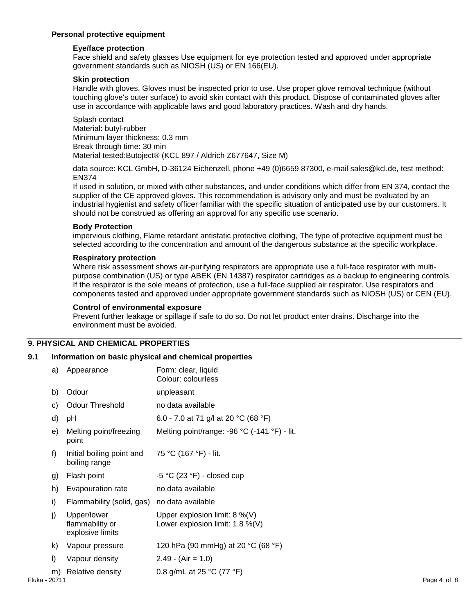#### **Personal protective equipment**

#### **Eye/face protection**

Face shield and safety glasses Use equipment for eye protection tested and approved under appropriate government standards such as NIOSH (US) or EN 166(EU).

#### **Skin protection**

Handle with gloves. Gloves must be inspected prior to use. Use proper glove removal technique (without touching glove's outer surface) to avoid skin contact with this product. Dispose of contaminated gloves after use in accordance with applicable laws and good laboratory practices. Wash and dry hands.

Splash contact Material: butyl-rubber Minimum layer thickness: 0.3 mm Break through time: 30 min Material tested:Butoject® (KCL 897 / Aldrich Z677647, Size M)

data source: KCL GmbH, D-36124 Eichenzell, phone +49 (0)6659 87300, e-mail sales@kcl.de, test method: EN374

If used in solution, or mixed with other substances, and under conditions which differ from EN 374, contact the supplier of the CE approved gloves. This recommendation is advisory only and must be evaluated by an industrial hygienist and safety officer familiar with the specific situation of anticipated use by our customers. It should not be construed as offering an approval for any specific use scenario.

#### **Body Protection**

impervious clothing, Flame retardant antistatic protective clothing, The type of protective equipment must be selected according to the concentration and amount of the dangerous substance at the specific workplace.

#### **Respiratory protection**

Where risk assessment shows air-purifying respirators are appropriate use a full-face respirator with multipurpose combination (US) or type ABEK (EN 14387) respirator cartridges as a backup to engineering controls. If the respirator is the sole means of protection, use a full-face supplied air respirator. Use respirators and components tested and approved under appropriate government standards such as NIOSH (US) or CEN (EU).

#### **Control of environmental exposure**

Prevent further leakage or spillage if safe to do so. Do not let product enter drains. Discharge into the environment must be avoided.

# **9. PHYSICAL AND CHEMICAL PROPERTIES**

#### **9.1 Information on basic physical and chemical properties**

| a) | Appearance                                         | Form: clear, liquid<br>Colour: colourless                              |
|----|----------------------------------------------------|------------------------------------------------------------------------|
| b) | Odour                                              | unpleasant                                                             |
| C) | <b>Odour Threshold</b>                             | no data available                                                      |
| d) | рH                                                 | 6.0 - 7.0 at 71 g/l at 20 °C (68 °F)                                   |
| e) | Melting point/freezing<br>point                    | Melting point/range: -96 $^{\circ}$ C (-141 $^{\circ}$ F) - lit.       |
| f) | Initial boiling point and<br>boiling range         | 75 °C (167 °F) - lit.                                                  |
| g) | Flash point                                        | $-5$ °C (23 °F) - closed cup                                           |
| h) | Evapouration rate                                  | no data available                                                      |
| i) | Flammability (solid, gas)                          | no data available                                                      |
| j) | Upper/lower<br>flammability or<br>explosive limits | Upper explosion limit: $8\%$ (V)<br>Lower explosion limit: $1.8\%$ (V) |
| k) | Vapour pressure                                    | 120 hPa (90 mmHg) at 20 °C (68 °F)                                     |
| I) | Vapour density                                     | $2.49 - (Air = 1.0)$                                                   |
| m) | Relative density                                   | 0.8 g/mL at 25 °C (77 °F)                                              |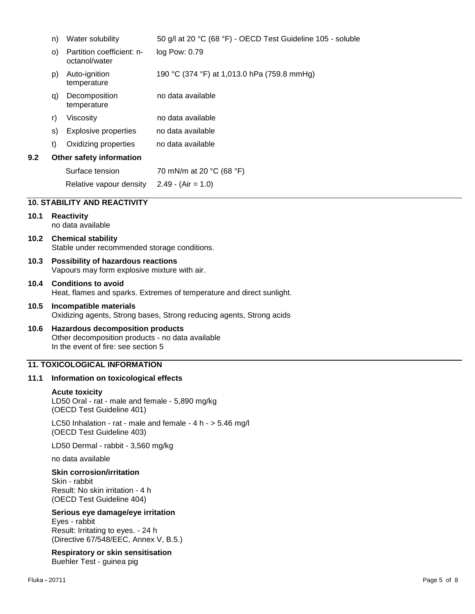|                | n)                                                                                        | Water solubility                           | 50 g/l at 20 °C (68 °F) - OECD Test Guideline 105 - soluble |
|----------------|-------------------------------------------------------------------------------------------|--------------------------------------------|-------------------------------------------------------------|
|                | $\circ$                                                                                   | Partition coefficient: n-<br>octanol/water | log Pow: 0.79                                               |
|                | p)                                                                                        | Auto-ignition<br>temperature               | 190 °C (374 °F) at 1,013.0 hPa (759.8 mmHg)                 |
|                | q)                                                                                        | Decomposition<br>temperature               | no data available                                           |
|                | r)                                                                                        | Viscosity                                  | no data available                                           |
|                | S)                                                                                        | <b>Explosive properties</b>                | no data available                                           |
|                | t)                                                                                        | Oxidizing properties                       | no data available                                           |
| 9.2            |                                                                                           | Other safety information                   |                                                             |
|                |                                                                                           | Surface tension                            | 70 mN/m at 20 °C (68 °F)                                    |
|                |                                                                                           | Relative vapour density                    | $2.49 - (Air = 1.0)$                                        |
|                |                                                                                           | <b>10. STABILITY AND REACTIVITY</b>        |                                                             |
| 10.1           | <b>Reactivity</b><br>no data available                                                    |                                            |                                                             |
| 10.2           | <b>Chemical stability</b><br>Stable under recommended storage conditions.                 |                                            |                                                             |
| 10.3           | <b>Possibility of hazardous reactions</b><br>Vapours may form explosive mixture with air. |                                            |                                                             |
| $\overline{A}$ |                                                                                           | Canditions to custal                       |                                                             |

**10.4 Conditions to avoid** Heat, flames and sparks. Extremes of temperature and direct sunlight.

#### **10.5 Incompatible materials** Oxidizing agents, Strong bases, Strong reducing agents, Strong acids

#### **10.6 Hazardous decomposition products** Other decomposition products - no data available In the event of fire: see section 5

## **11. TOXICOLOGICAL INFORMATION**

#### **11.1 Information on toxicological effects**

#### **Acute toxicity**

LD50 Oral - rat - male and female - 5,890 mg/kg (OECD Test Guideline 401)

LC50 Inhalation - rat - male and female - 4 h - > 5.46 mg/l (OECD Test Guideline 403)

LD50 Dermal - rabbit - 3,560 mg/kg

no data available

# **Skin corrosion/irritation**

Skin - rabbit Result: No skin irritation - 4 h (OECD Test Guideline 404)

#### **Serious eye damage/eye irritation**

Eyes - rabbit Result: Irritating to eyes. - 24 h (Directive 67/548/EEC, Annex V, B.5.)

**Respiratory or skin sensitisation** Buehler Test - guinea pig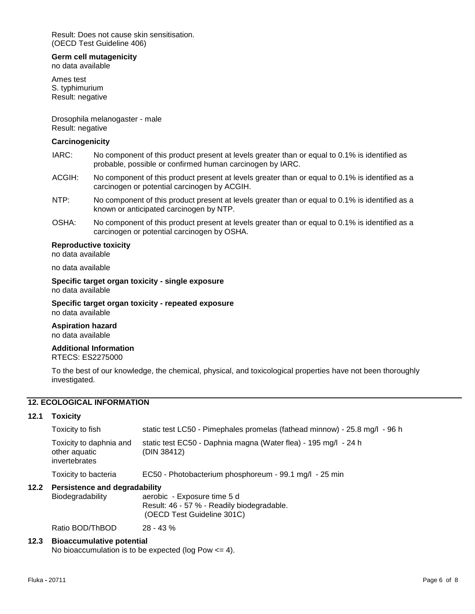Result: Does not cause skin sensitisation. (OECD Test Guideline 406)

**Germ cell mutagenicity**

no data available

Ames test S. typhimurium Result: negative

Drosophila melanogaster - male Result: negative

#### **Carcinogenicity**

- IARC: No component of this product present at levels greater than or equal to 0.1% is identified as probable, possible or confirmed human carcinogen by IARC.
- ACGIH: No component of this product present at levels greater than or equal to 0.1% is identified as a carcinogen or potential carcinogen by ACGIH.
- NTP: No component of this product present at levels greater than or equal to 0.1% is identified as a known or anticipated carcinogen by NTP.
- OSHA: No component of this product present at levels greater than or equal to 0.1% is identified as a carcinogen or potential carcinogen by OSHA.

#### **Reproductive toxicity**

no data available

no data available

**Specific target organ toxicity - single exposure** no data available

**Specific target organ toxicity - repeated exposure** no data available

**Aspiration hazard**

no data available

# **Additional Information**

RTECS: ES2275000

To the best of our knowledge, the chemical, physical, and toxicological properties have not been thoroughly investigated.

## **12. ECOLOGICAL INFORMATION**

#### **12.1 Toxicity**

| 12.2 | <b>Persistence and degradability</b>                      | For the control the control of the control of the control of the control of the control of the control of the control of the control of the control of the control of the control of the control of the control of the contro |
|------|-----------------------------------------------------------|-------------------------------------------------------------------------------------------------------------------------------------------------------------------------------------------------------------------------------|
|      | Toxicity to bacteria                                      | EC50 - Photobacterium phosphoreum - 99.1 mg/l - 25 min                                                                                                                                                                        |
|      | Toxicity to daphnia and<br>other aquatic<br>invertebrates | static test EC50 - Daphnia magna (Water flea) - 195 mg/l - 24 h<br>(DIN 38412)                                                                                                                                                |
|      | Toxicity to fish                                          | static test LC50 - Pimephales promelas (fathead minnow) - 25.8 mg/l - 96 h                                                                                                                                                    |

Biodegradability aerobic - Exposure time 5 d Result: 46 - 57 % - Readily biodegradable. (OECD Test Guideline 301C)

Ratio BOD/ThBOD 28 - 43 %

#### **12.3 Bioaccumulative potential**

No bioaccumulation is to be expected (log Pow  $\leq$  = 4).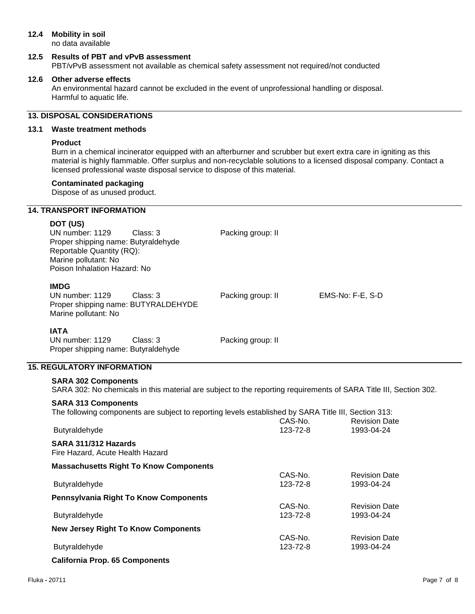#### **12.4 Mobility in soil**

no data available

#### **12.5 Results of PBT and vPvB assessment**

PBT/vPvB assessment not available as chemical safety assessment not required/not conducted

#### **12.6 Other adverse effects**

An environmental hazard cannot be excluded in the event of unprofessional handling or disposal. Harmful to aquatic life.

# **13. DISPOSAL CONSIDERATIONS**

#### **13.1 Waste treatment methods**

#### **Product**

Burn in a chemical incinerator equipped with an afterburner and scrubber but exert extra care in igniting as this material is highly flammable. Offer surplus and non-recyclable solutions to a licensed disposal company. Contact a licensed professional waste disposal service to dispose of this material.

#### **Contaminated packaging**

Dispose of as unused product.

# **14. TRANSPORT INFORMATION**

#### **DOT (US)**

| UN number: 1129<br>Proper shipping name: Butyraldehyde<br>Reportable Quantity (RQ):<br>Marine pollutant: No<br>Poison Inhalation Hazard: No | Class: 3                                                                                             | Packing group: II |                     |                                                                                                                   |  |
|---------------------------------------------------------------------------------------------------------------------------------------------|------------------------------------------------------------------------------------------------------|-------------------|---------------------|-------------------------------------------------------------------------------------------------------------------|--|
| <b>IMDG</b><br>UN number: 1129<br>Proper shipping name: BUTYRALDEHYDE<br>Marine pollutant: No                                               | Class: 3                                                                                             | Packing group: II |                     | EMS-No: F-E, S-D                                                                                                  |  |
| <b>IATA</b><br>UN number: 1129<br>Proper shipping name: Butyraldehyde                                                                       | Class: 3                                                                                             | Packing group: II |                     |                                                                                                                   |  |
| <b>15. REGULATORY INFORMATION</b>                                                                                                           |                                                                                                      |                   |                     |                                                                                                                   |  |
| <b>SARA 302 Components</b>                                                                                                                  |                                                                                                      |                   |                     | SARA 302: No chemicals in this material are subject to the reporting requirements of SARA Title III, Section 302. |  |
| <b>SARA 313 Components</b>                                                                                                                  | The following components are subject to reporting levels established by SARA Title III, Section 313: |                   | CAS-No.             | <b>Revision Date</b>                                                                                              |  |
| Butyraldehyde                                                                                                                               |                                                                                                      |                   | 123-72-8            | 1993-04-24                                                                                                        |  |
| SARA 311/312 Hazards<br>Fire Hazard, Acute Health Hazard                                                                                    |                                                                                                      |                   |                     |                                                                                                                   |  |
|                                                                                                                                             | <b>Massachusetts Right To Know Components</b>                                                        |                   |                     |                                                                                                                   |  |
| Butyraldehyde                                                                                                                               |                                                                                                      |                   | CAS-No.<br>123-72-8 | <b>Revision Date</b><br>1993-04-24                                                                                |  |
|                                                                                                                                             | <b>Pennsylvania Right To Know Components</b>                                                         |                   |                     |                                                                                                                   |  |
|                                                                                                                                             |                                                                                                      |                   | CAS-No.<br>123-72-8 | <b>Revision Date</b><br>1993-04-24                                                                                |  |
| Butyraldehyde                                                                                                                               |                                                                                                      |                   |                     |                                                                                                                   |  |
| <b>New Jersey Right To Know Components</b>                                                                                                  |                                                                                                      |                   | CAS-No.             | <b>Revision Date</b>                                                                                              |  |
| Butyraldehyde                                                                                                                               |                                                                                                      |                   | 123-72-8            | 1993-04-24                                                                                                        |  |
| <b>California Prop. 65 Components</b>                                                                                                       |                                                                                                      |                   |                     |                                                                                                                   |  |
|                                                                                                                                             |                                                                                                      |                   |                     |                                                                                                                   |  |